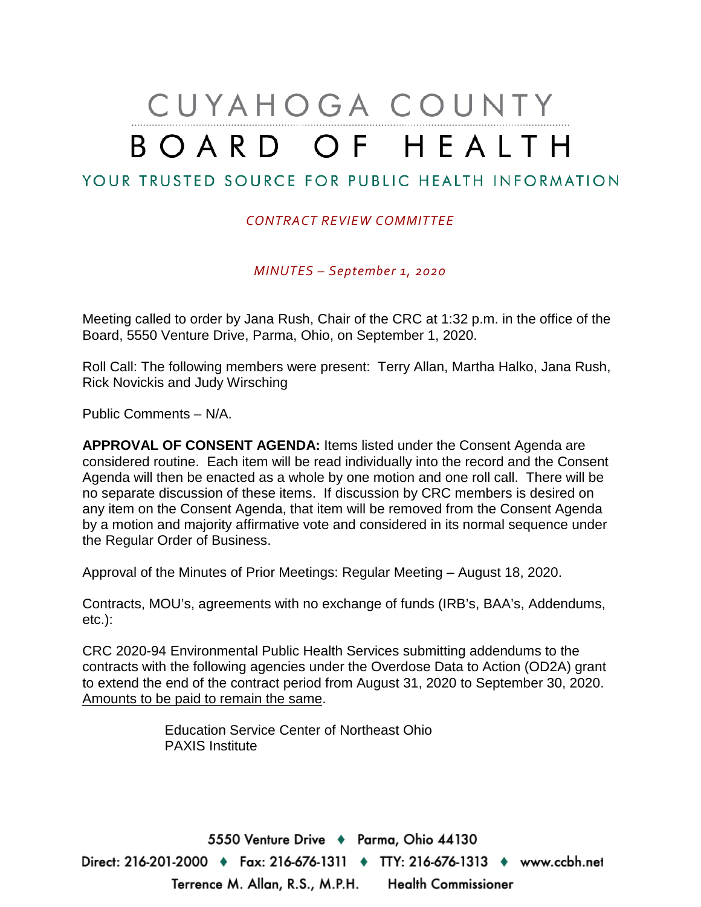# CUYAHOGA COUNTY BOARD OF HEALTH

# YOUR TRUSTED SOURCE FOR PUBLIC HEALTH INFORMATION

#### *CONTRACT REVIEW COMMITTEE*

*MINUTES – September 1, 2020*

Meeting called to order by Jana Rush, Chair of the CRC at 1:32 p.m. in the office of the Board, 5550 Venture Drive, Parma, Ohio, on September 1, 2020.

Roll Call: The following members were present: Terry Allan, Martha Halko, Jana Rush, Rick Novickis and Judy Wirsching

Public Comments – N/A.

**APPROVAL OF CONSENT AGENDA:** Items listed under the Consent Agenda are considered routine. Each item will be read individually into the record and the Consent Agenda will then be enacted as a whole by one motion and one roll call. There will be no separate discussion of these items. If discussion by CRC members is desired on any item on the Consent Agenda, that item will be removed from the Consent Agenda by a motion and majority affirmative vote and considered in its normal sequence under the Regular Order of Business.

Approval of the Minutes of Prior Meetings: Regular Meeting – August 18, 2020.

Contracts, MOU's, agreements with no exchange of funds (IRB's, BAA's, Addendums, etc.):

CRC 2020-94 Environmental Public Health Services submitting addendums to the contracts with the following agencies under the Overdose Data to Action (OD2A) grant to extend the end of the contract period from August 31, 2020 to September 30, 2020. Amounts to be paid to remain the same.

> Education Service Center of Northeast Ohio PAXIS Institute

5550 Venture Drive + Parma, Ohio 44130 Direct: 216-201-2000 ♦ Fax: 216-676-1311 ♦ TTY: 216-676-1313 ♦ www.ccbh.net Terrence M. Allan, R.S., M.P.H. Health Commissioner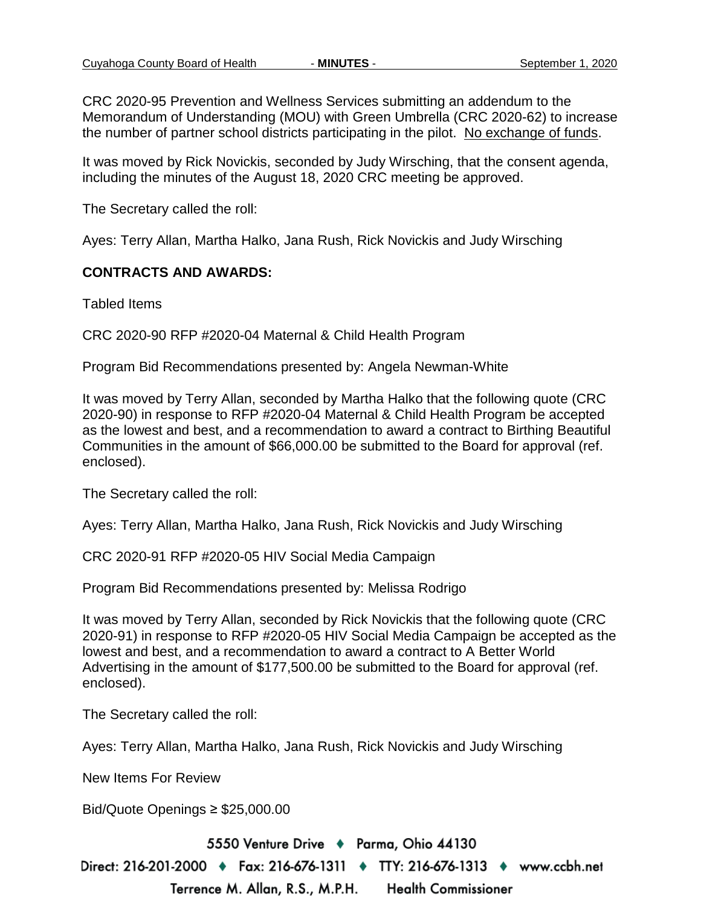CRC 2020-95 Prevention and Wellness Services submitting an addendum to the Memorandum of Understanding (MOU) with Green Umbrella (CRC 2020-62) to increase the number of partner school districts participating in the pilot. No exchange of funds.

It was moved by Rick Novickis, seconded by Judy Wirsching, that the consent agenda, including the minutes of the August 18, 2020 CRC meeting be approved.

The Secretary called the roll:

Ayes: Terry Allan, Martha Halko, Jana Rush, Rick Novickis and Judy Wirsching

#### **CONTRACTS AND AWARDS:**

Tabled Items

CRC 2020-90 RFP #2020-04 Maternal & Child Health Program

Program Bid Recommendations presented by: Angela Newman-White

It was moved by Terry Allan, seconded by Martha Halko that the following quote (CRC 2020-90) in response to RFP #2020-04 Maternal & Child Health Program be accepted as the lowest and best, and a recommendation to award a contract to Birthing Beautiful Communities in the amount of \$66,000.00 be submitted to the Board for approval (ref. enclosed).

The Secretary called the roll:

Ayes: Terry Allan, Martha Halko, Jana Rush, Rick Novickis and Judy Wirsching

CRC 2020-91 RFP #2020-05 HIV Social Media Campaign

Program Bid Recommendations presented by: Melissa Rodrigo

Terrence M. Allan, R.S., M.P.H.

It was moved by Terry Allan, seconded by Rick Novickis that the following quote (CRC 2020-91) in response to RFP #2020-05 HIV Social Media Campaign be accepted as the lowest and best, and a recommendation to award a contract to A Better World Advertising in the amount of \$177,500.00 be submitted to the Board for approval (ref. enclosed).

The Secretary called the roll:

Ayes: Terry Allan, Martha Halko, Jana Rush, Rick Novickis and Judy Wirsching

New Items For Review

Bid/Quote Openings ≥ \$25,000.00

5550 Venture Drive + Parma, Ohio 44130

Direct: 216-201-2000 ♦ Fax: 216-676-1311 ♦ TTY: 216-676-1313 ♦ www.ccbh.net

**Health Commissioner**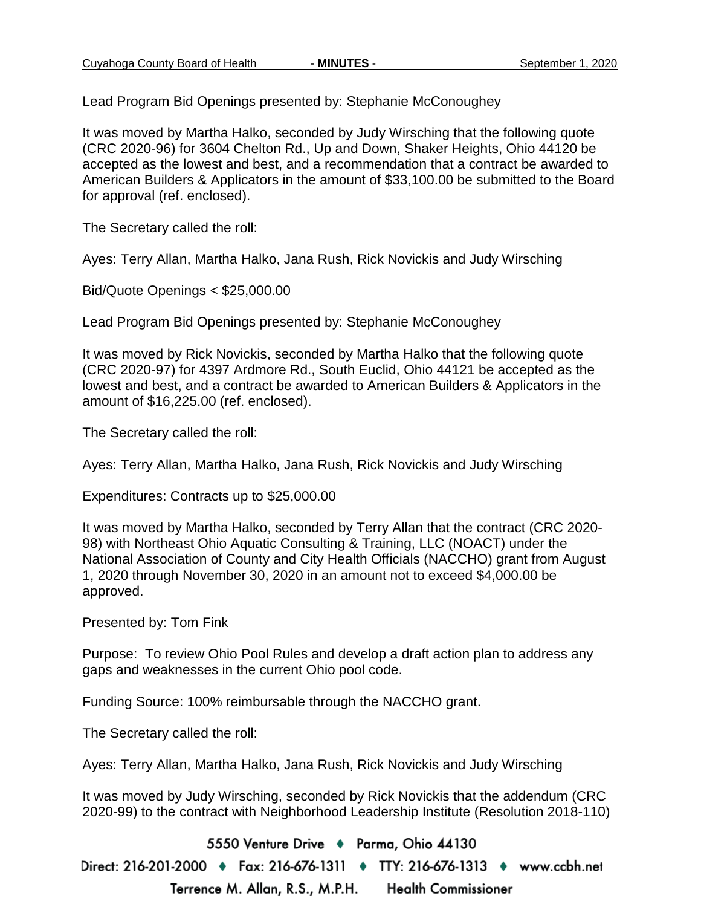Lead Program Bid Openings presented by: Stephanie McConoughey

It was moved by Martha Halko, seconded by Judy Wirsching that the following quote (CRC 2020-96) for 3604 Chelton Rd., Up and Down, Shaker Heights, Ohio 44120 be accepted as the lowest and best, and a recommendation that a contract be awarded to American Builders & Applicators in the amount of \$33,100.00 be submitted to the Board for approval (ref. enclosed).

The Secretary called the roll:

Ayes: Terry Allan, Martha Halko, Jana Rush, Rick Novickis and Judy Wirsching

Bid/Quote Openings < \$25,000.00

Lead Program Bid Openings presented by: Stephanie McConoughey

It was moved by Rick Novickis, seconded by Martha Halko that the following quote (CRC 2020-97) for 4397 Ardmore Rd., South Euclid, Ohio 44121 be accepted as the lowest and best, and a contract be awarded to American Builders & Applicators in the amount of \$16,225.00 (ref. enclosed).

The Secretary called the roll:

Ayes: Terry Allan, Martha Halko, Jana Rush, Rick Novickis and Judy Wirsching

Expenditures: Contracts up to \$25,000.00

It was moved by Martha Halko, seconded by Terry Allan that the contract (CRC 2020- 98) with Northeast Ohio Aquatic Consulting & Training, LLC (NOACT) under the National Association of County and City Health Officials (NACCHO) grant from August 1, 2020 through November 30, 2020 in an amount not to exceed \$4,000.00 be approved.

Presented by: Tom Fink

Purpose: To review Ohio Pool Rules and develop a draft action plan to address any gaps and weaknesses in the current Ohio pool code.

Funding Source: 100% reimbursable through the NACCHO grant.

The Secretary called the roll:

Ayes: Terry Allan, Martha Halko, Jana Rush, Rick Novickis and Judy Wirsching

It was moved by Judy Wirsching, seconded by Rick Novickis that the addendum (CRC 2020-99) to the contract with Neighborhood Leadership Institute (Resolution 2018-110)

5550 Venture Drive + Parma, Ohio 44130 Direct: 216-201-2000 ♦ Fax: 216-676-1311 ♦ TTY: 216-676-1313 ♦ www.ccbh.net Terrence M. Allan, R.S., M.P.H. **Health Commissioner**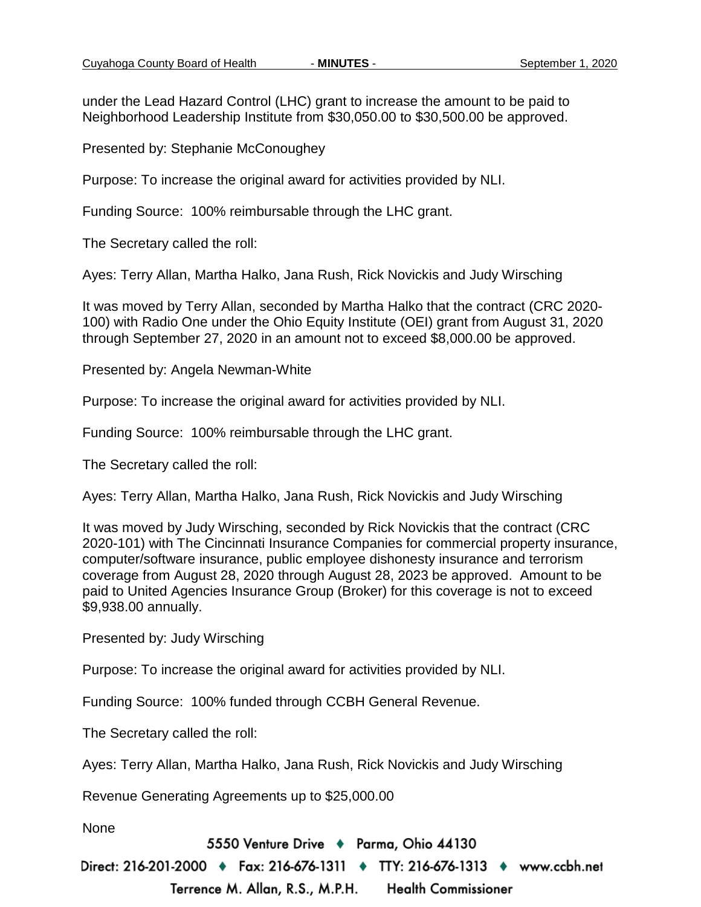under the Lead Hazard Control (LHC) grant to increase the amount to be paid to Neighborhood Leadership Institute from \$30,050.00 to \$30,500.00 be approved.

Presented by: Stephanie McConoughey

Purpose: To increase the original award for activities provided by NLI.

Funding Source: 100% reimbursable through the LHC grant.

The Secretary called the roll:

Ayes: Terry Allan, Martha Halko, Jana Rush, Rick Novickis and Judy Wirsching

It was moved by Terry Allan, seconded by Martha Halko that the contract (CRC 2020- 100) with Radio One under the Ohio Equity Institute (OEI) grant from August 31, 2020 through September 27, 2020 in an amount not to exceed \$8,000.00 be approved.

Presented by: Angela Newman-White

Purpose: To increase the original award for activities provided by NLI.

Funding Source: 100% reimbursable through the LHC grant.

The Secretary called the roll:

Ayes: Terry Allan, Martha Halko, Jana Rush, Rick Novickis and Judy Wirsching

It was moved by Judy Wirsching, seconded by Rick Novickis that the contract (CRC 2020-101) with The Cincinnati Insurance Companies for commercial property insurance, computer/software insurance, public employee dishonesty insurance and terrorism coverage from August 28, 2020 through August 28, 2023 be approved. Amount to be paid to United Agencies Insurance Group (Broker) for this coverage is not to exceed \$9,938.00 annually.

Presented by: Judy Wirsching

Purpose: To increase the original award for activities provided by NLI.

Funding Source: 100% funded through CCBH General Revenue.

The Secretary called the roll:

Ayes: Terry Allan, Martha Halko, Jana Rush, Rick Novickis and Judy Wirsching

Revenue Generating Agreements up to \$25,000.00

None

5550 Venture Drive + Parma, Ohio 44130

Direct: 216-201-2000 ♦ Fax: 216-676-1311 ♦ TTY: 216-676-1313 ♦ www.ccbh.net

Terrence M. Allan, R.S., M.P.H. **Health Commissioner**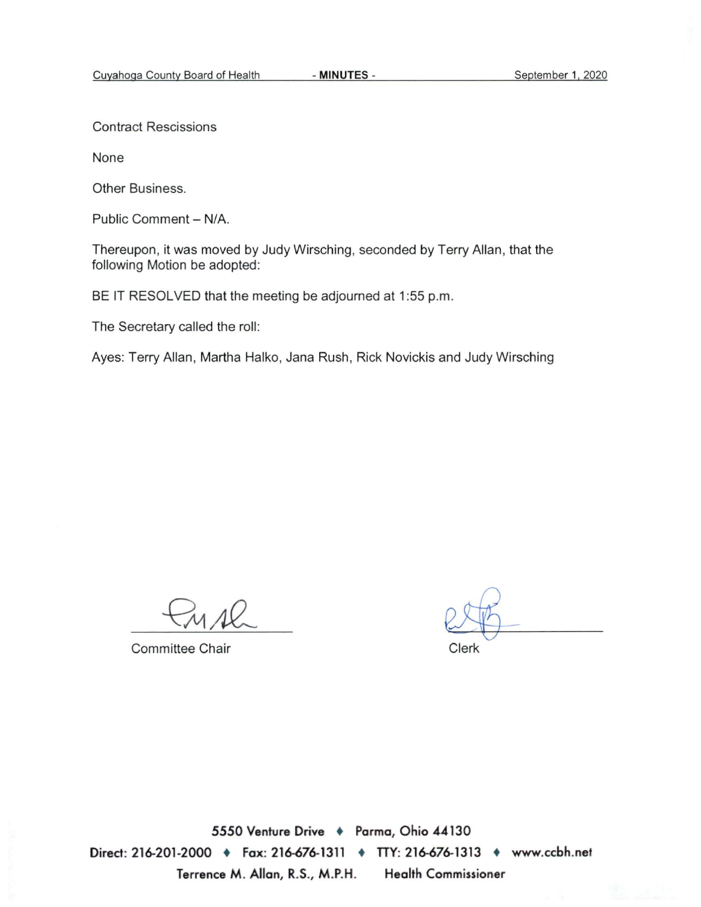**Contract Rescissions** 

None

Other Business.

Public Comment - N/A.

Thereupon, it was moved by Judy Wirsching, seconded by Terry Allan, that the following Motion be adopted:

BE IT RESOLVED that the meeting be adjourned at 1:55 p.m.

The Secretary called the roll:

Ayes: Terry Allan, Martha Halko, Jana Rush, Rick Novickis and Judy Wirsching

**Committee Chair** 

Clerk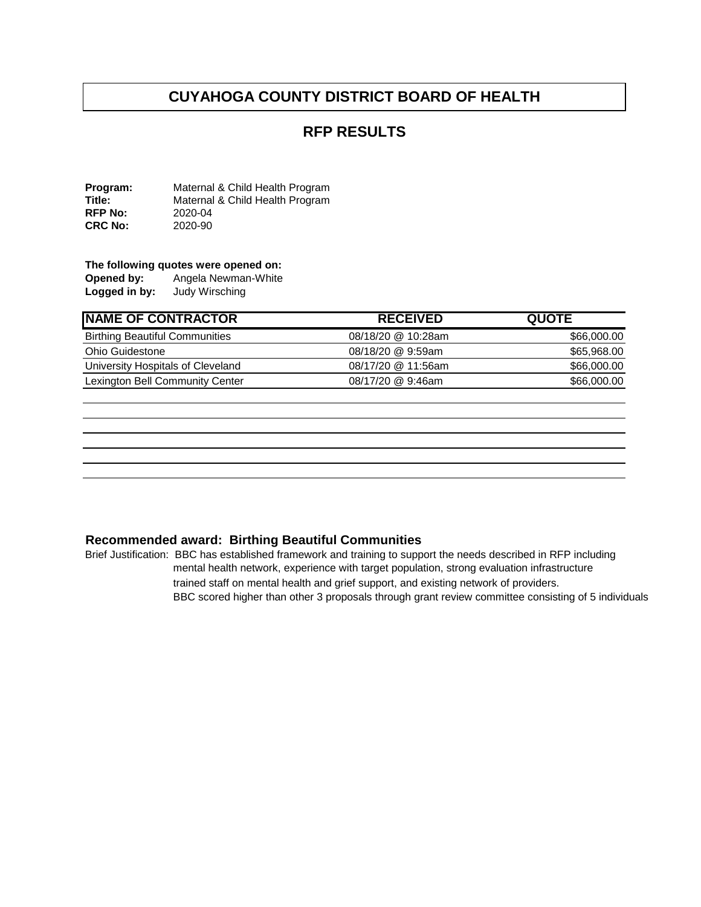### **RFP RESULTS**

**Program:** Maternal & Child Health Program<br> **Title:** Maternal & Child Health Program Maternal & Child Health Program<br>2020-04 **RFP No:** 2020-04<br>**CRC No:** 2020-90 **CRC No:** 

# **The following quotes were opened on:**<br>**Opened by:** Angela Newman-White

Angela Newman-White<br>Judy Wirsching **Logged in by:** 

| <b>RECEIVED</b>    | <b>QUOTE</b> |
|--------------------|--------------|
| 08/18/20 @ 10:28am | \$66,000.00  |
| 08/18/20 @ 9:59am  | \$65,968.00  |
| 08/17/20 @ 11:56am | \$66,000.00  |
| 08/17/20 @ 9:46am  | \$66,000.00  |
|                    |              |

#### **Recommended award: Birthing Beautiful Communities**

Brief Justification: BBC has established framework and training to support the needs described in RFP including mental health network, experience with target population, strong evaluation infrastructure trained staff on mental health and grief support, and existing network of providers. BBC scored higher than other 3 proposals through grant review committee consisting of 5 individuals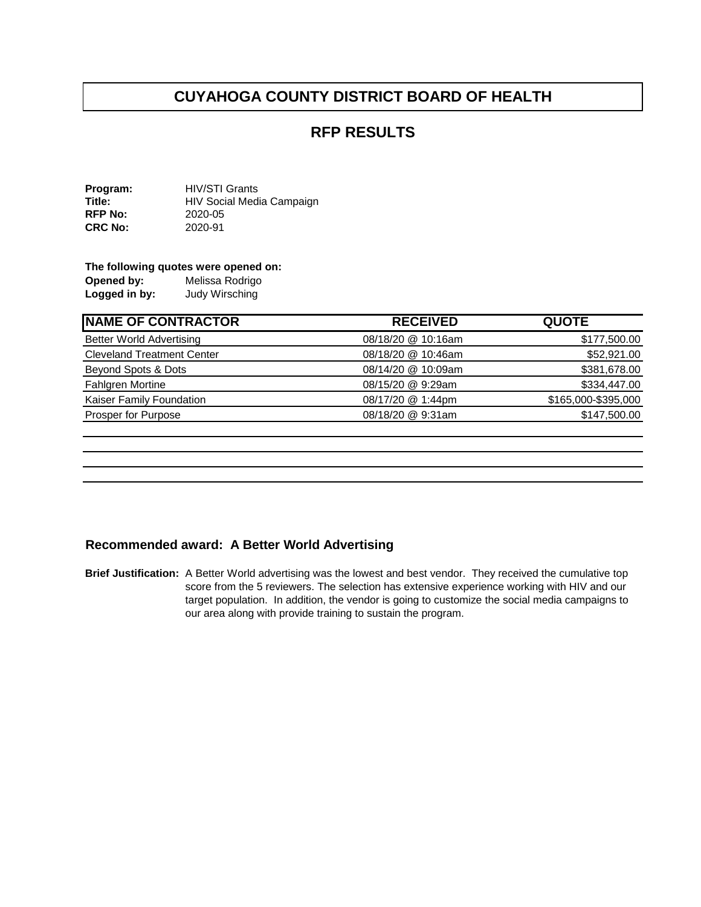#### **RFP RESULTS**

**Program:** HIV/STI Grants<br>**Title:** HIV Social Medi **HIV Social Media Campaign<br>2020-05 RFP No:** 2020-05<br> **CRC No:** 2020-91 **CRC No:** 

#### **The following quotes were opened on:**

**Opened by:** Melissa Rodrigo<br> **Logged in by:** Judy Wirsching Logged in by:

| <b>NAME OF CONTRACTOR</b>         | <b>RECEIVED</b>    | <b>QUOTE</b>        |
|-----------------------------------|--------------------|---------------------|
| <b>Better World Advertising</b>   | 08/18/20 @ 10:16am | \$177,500.00        |
| <b>Cleveland Treatment Center</b> | 08/18/20 @ 10:46am | \$52,921.00         |
| Beyond Spots & Dots               | 08/14/20 @ 10:09am | \$381,678.00        |
| <b>Fahlgren Mortine</b>           | 08/15/20 @ 9:29am  | \$334,447.00        |
| Kaiser Family Foundation          | 08/17/20 @ 1:44pm  | \$165,000-\$395,000 |
| Prosper for Purpose               | 08/18/20 @ 9:31am  | \$147,500.00        |
|                                   |                    |                     |

#### **Recommended award: A Better World Advertising**

**Brief Justification:** A Better World advertising was the lowest and best vendor. They received the cumulative top score from the 5 reviewers. The selection has extensive experience working with HIV and our target population. In addition, the vendor is going to customize the social media campaigns to our area along with provide training to sustain the program.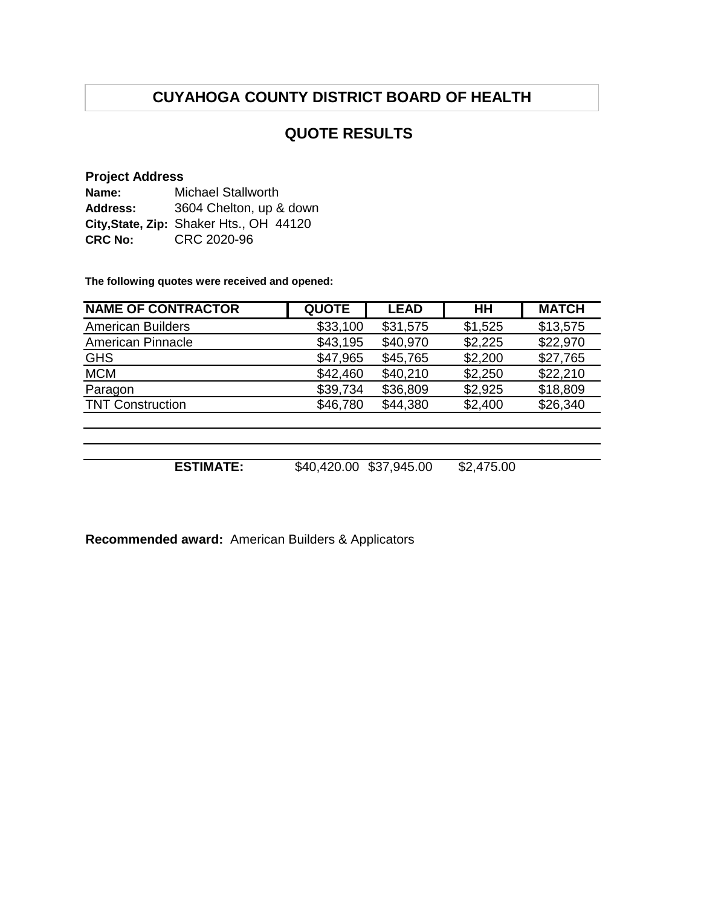# **QUOTE RESULTS**

#### **Project Address**

| Name:          | <b>Michael Stallworth</b>               |
|----------------|-----------------------------------------|
| Address:       | 3604 Chelton, up & down                 |
|                | City, State, Zip: Shaker Hts., OH 44120 |
| <b>CRC No:</b> | CRC 2020-96                             |

**The following quotes were received and opened:**

| <b>NAME OF CONTRACTOR</b> | <b>QUOTE</b> | <b>LEAD</b> | $H$ H      | <b>MATCH</b> |
|---------------------------|--------------|-------------|------------|--------------|
| <b>American Builders</b>  | \$33,100     | \$31,575    | \$1,525    | \$13,575     |
| <b>American Pinnacle</b>  | \$43,195     | \$40,970    | \$2,225    | \$22,970     |
| <b>GHS</b>                | \$47,965     | \$45,765    | \$2,200    | \$27,765     |
| <b>MCM</b>                | \$42,460     | \$40,210    | \$2,250    | \$22,210     |
| Paragon                   | \$39,734     | \$36,809    | \$2,925    | \$18,809     |
| <b>TNT Construction</b>   | \$46,780     | \$44,380    | \$2,400    | \$26,340     |
|                           |              |             |            |              |
|                           |              |             |            |              |
|                           |              |             |            |              |
| <b>ESTIMATE:</b>          | \$40,420.00  | \$37,945.00 | \$2,475.00 |              |

**Recommended award:** American Builders & Applicators